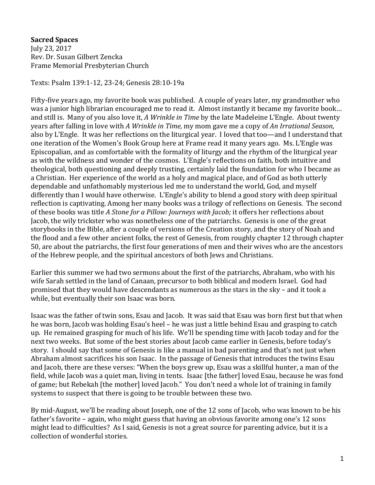**Sacred Spaces** July 23, 2017 Rev. Dr. Susan Gilbert Zencka Frame Memorial Presbyterian Church

Texts: Psalm 139:1-12, 23-24; Genesis 28:10-19a

Fifty-five years ago, my favorite book was published. A couple of years later, my grandmother who was a junior high librarian encouraged me to read it. Almost instantly it became my favorite book… and still is. Many of you also love it, *A Wrinkle in Time* by the late Madeleine L'Engle. About twenty years after falling in love with *A Wrinkle in Time,* my mom gave me a copy of *An Irrational Season,*  also by L'Engle. It was her reflections on the liturgical year. I loved that too—and I understand that one iteration of the Women's Book Group here at Frame read it many years ago. Ms. L'Engle was Episcopalian, and as comfortable with the formality of liturgy and the rhythm of the liturgical year as with the wildness and wonder of the cosmos. L'Engle's reflections on faith, both intuitive and theological, both questioning and deeply trusting, certainly laid the foundation for who I became as a Christian. Her experience of the world as a holy and magical place, and of God as both utterly dependable and unfathomably mysterious led me to understand the world, God, and myself differently than I would have otherwise. L'Engle's ability to blend a good story with deep spiritual reflection is captivating. Among her many books was a trilogy of reflections on Genesis. The second of these books was title *A Stone for a Pillow: Journeys with Jacob;* it offers her reflections about Jacob, the wily trickster who was nonetheless one of the patriarchs. Genesis is one of the great storybooks in the Bible, after a couple of versions of the Creation story, and the story of Noah and the flood and a few other ancient folks, the rest of Genesis, from roughly chapter 12 through chapter 50, are about the patriarchs, the first four generations of men and their wives who are the ancestors of the Hebrew people, and the spiritual ancestors of both Jews and Christians.

Earlier this summer we had two sermons about the first of the patriarchs, Abraham, who with his wife Sarah settled in the land of Canaan, precursor to both biblical and modern Israel. God had promised that they would have descendants as numerous as the stars in the sky – and it took a while, but eventually their son Isaac was born.

Isaac was the father of twin sons, Esau and Jacob. It was said that Esau was born first but that when he was born, Jacob was holding Esau's heel – he was just a little behind Esau and grasping to catch up. He remained grasping for much of his life. We'll be spending time with Jacob today and for the next two weeks. But some of the best stories about Jacob came earlier in Genesis, before today's story. I should say that some of Genesis is like a manual in bad parenting and that's not just when Abraham almost sacrifices his son Isaac. In the passage of Genesis that introduces the twins Esau and Jacob, there are these verses: "When the boys grew up, Esau was a skillful hunter, a man of the field, while Jacob was a quiet man, living in tents. Isaac [the father] loved Esau, because he was fond of game; but Rebekah [the mother] loved Jacob." You don't need a whole lot of training in family systems to suspect that there is going to be trouble between these two.

By mid-August, we'll be reading about Joseph, one of the 12 sons of Jacob, who was known to be his father's favorite – again, who might guess that having an obvious favorite among one's 12 sons might lead to difficulties? As I said, Genesis is not a great source for parenting advice, but it is a collection of wonderful stories.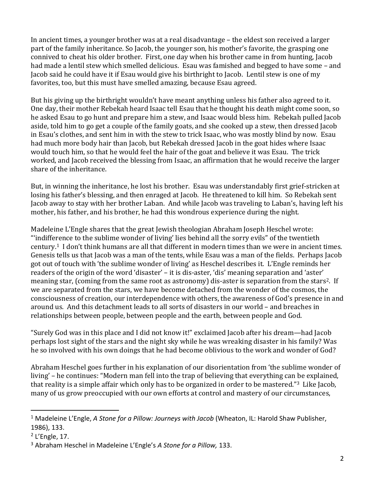In ancient times, a younger brother was at a real disadvantage – the eldest son received a larger part of the family inheritance. So Jacob, the younger son, his mother's favorite, the grasping one connived to cheat his older brother. First, one day when his brother came in from hunting, Jacob had made a lentil stew which smelled delicious. Esau was famished and begged to have some – and Jacob said he could have it if Esau would give his birthright to Jacob. Lentil stew is one of my favorites, too, but this must have smelled amazing, because Esau agreed.

But his giving up the birthright wouldn't have meant anything unless his father also agreed to it. One day, their mother Rebekah heard Isaac tell Esau that he thought his death might come soon, so he asked Esau to go hunt and prepare him a stew, and Isaac would bless him. Rebekah pulled Jacob aside, told him to go get a couple of the family goats, and she cooked up a stew, then dressed Jacob in Esau's clothes, and sent him in with the stew to trick Isaac, who was mostly blind by now. Esau had much more body hair than Jacob, but Rebekah dressed Jacob in the goat hides where Isaac would touch him, so that he would feel the hair of the goat and believe it was Esau. The trick worked, and Jacob received the blessing from Isaac, an affirmation that he would receive the larger share of the inheritance.

But, in winning the inheritance, he lost his brother. Esau was understandably first grief-stricken at losing his father's blessing, and then enraged at Jacob. He threatened to kill him. So Rebekah sent Jacob away to stay with her brother Laban. And while Jacob was traveling to Laban's, having left his mother, his father, and his brother, he had this wondrous experience during the night.

Madeleine L'Engle shares that the great Jewish theologian Abraham Joseph Heschel wrote: "'indifference to the sublime wonder of living' lies behind all the sorry evils" of the twentieth century.<sup>1</sup> I don't think humans are all that different in modern times than we were in ancient times. Genesis tells us that Jacob was a man of the tents, while Esau was a man of the fields. Perhaps Jacob got out of touch with 'the sublime wonder of living' as Heschel describes it. L'Engle reminds her readers of the origin of the word 'disaster' – it is dis-aster, 'dis' meaning separation and 'aster' meaning star, (coming from the same root as astronomy) dis-aster is separation from the stars2. If we are separated from the stars, we have become detached from the wonder of the cosmos, the consciousness of creation, our interdependence with others, the awareness of God's presence in and around us. And this detachment leads to all sorts of disasters in our world – and breaches in relationships between people, between people and the earth, between people and God.

"Surely God was in this place and I did not know it!" exclaimed Jacob after his dream—had Jacob perhaps lost sight of the stars and the night sky while he was wreaking disaster in his family? Was he so involved with his own doings that he had become oblivious to the work and wonder of God?

Abraham Heschel goes further in his explanation of our disorientation from 'the sublime wonder of living' – he continues: "Modern man fell into the trap of believing that everything can be explained, that reality is a simple affair which only has to be organized in order to be mastered."3 Like Jacob, many of us grow preoccupied with our own efforts at control and mastery of our circumstances,

 $\overline{a}$ 

<sup>1</sup> Madeleine L'Engle, *A Stone for a Pillow: Journeys with Jacob* (Wheaton, IL: Harold Shaw Publisher, 1986), 133.

<sup>&</sup>lt;sup>2</sup> L'Engle, 17.

<sup>3</sup> Abraham Heschel in Madeleine L'Engle's *A Stone for a Pillow,* 133.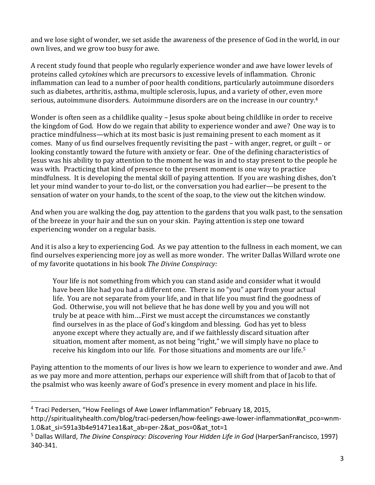and we lose sight of wonder, we set aside the awareness of the presence of God in the world, in our own lives, and we grow too busy for awe.

A recent study found that people who regularly experience wonder and awe have lower levels of proteins called *cytokines* which are precursors to excessive levels of inflammation. Chronic inflammation can lead to a number of poor health conditions, particularly autoimmune disorders such as diabetes, arthritis, asthma, multiple sclerosis, lupus, and a variety of other, even more serious, autoimmune disorders. Autoimmune disorders are on the increase in our country. 4

Wonder is often seen as a childlike quality – Jesus spoke about being childlike in order to receive the kingdom of God. How do we regain that ability to experience wonder and awe? One way is to practice mindfulness—which at its most basic is just remaining present to each moment as it comes. Many of us find ourselves frequently revisiting the past – with anger, regret, or guilt – or looking constantly toward the future with anxiety or fear. One of the defining characteristics of Jesus was his ability to pay attention to the moment he was in and to stay present to the people he was with. Practicing that kind of presence to the present moment is one way to practice mindfulness. It is developing the mental skill of paying attention. If you are washing dishes, don't let your mind wander to your to-do list, or the conversation you had earlier—be present to the sensation of water on your hands, to the scent of the soap, to the view out the kitchen window.

And when you are walking the dog, pay attention to the gardens that you walk past, to the sensation of the breeze in your hair and the sun on your skin. Paying attention is step one toward experiencing wonder on a regular basis.

And it is also a key to experiencing God. As we pay attention to the fullness in each moment, we can find ourselves experiencing more joy as well as more wonder. The writer Dallas Willard wrote one of my favorite quotations in his book *The Divine Conspiracy:*

Your life is not something from which you can stand aside and consider what it would have been like had you had a different one. There is no "you" apart from your actual life. You are not separate from your life, and in that life you must find the goodness of God. Otherwise, you will not believe that he has done well by you and you will not truly be at peace with him….First we must accept the circumstances we constantly find ourselves in as the place of God's kingdom and blessing. God has yet to bless anyone except where they actually are, and if we faithlessly discard situation after situation, moment after moment, as not being "right," we will simply have no place to receive his kingdom into our life. For those situations and moments are our life.<sup>5</sup>

Paying attention to the moments of our lives is how we learn to experience to wonder and awe. And as we pay more and more attention, perhaps our experience will shift from that of Jacob to that of the psalmist who was keenly aware of God's presence in every moment and place in his life.

 $\overline{a}$ 

<sup>4</sup> Traci Pedersen, "How Feelings of Awe Lower Inflammation" February 18, 2015, http://spiritualityhealth.com/blog/traci-pedersen/how-feelings-awe-lower-inflammation#at\_pco=wnm-1.0&at si=591a3b4e91471ea1&at ab=per-2&at pos=0&at tot=1

<sup>5</sup> Dallas Willard, *The Divine Conspiracy: Discovering Your Hidden Life in God* (HarperSanFrancisco, 1997) 340-341.